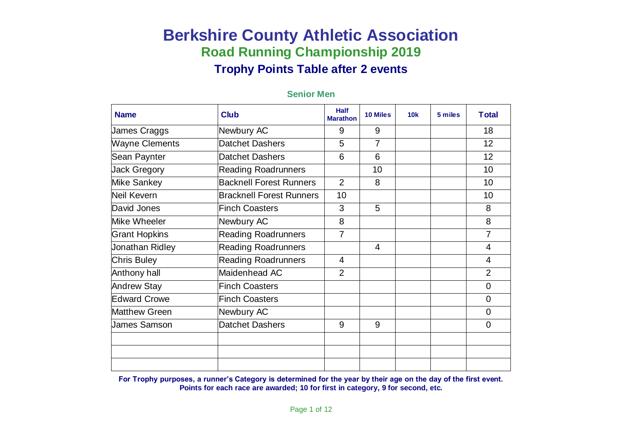| <b>Name</b>           | <b>Club</b>                     | <b>Half</b><br><b>Marathon</b> | <b>10 Miles</b> | 10k | 5 miles | <b>Total</b>   |
|-----------------------|---------------------------------|--------------------------------|-----------------|-----|---------|----------------|
| James Craggs          | Newbury AC                      | 9                              | 9               |     |         | 18             |
| <b>Wayne Clements</b> | Datchet Dashers                 | 5                              | $\overline{7}$  |     |         | 12             |
| Sean Paynter          | <b>Datchet Dashers</b>          | 6                              | 6               |     |         | 12             |
| <b>Jack Gregory</b>   | <b>Reading Roadrunners</b>      |                                | 10              |     |         | 10             |
| Mike Sankey           | <b>Backnell Forest Runners</b>  | $\overline{2}$                 | 8               |     |         | 10             |
| Neil Kevern           | <b>Bracknell Forest Runners</b> | 10                             |                 |     |         | 10             |
| David Jones           | <b>Finch Coasters</b>           | 3                              | 5               |     |         | 8              |
| Mike Wheeler          | Newbury AC                      | 8                              |                 |     |         | 8              |
| <b>Grant Hopkins</b>  | <b>Reading Roadrunners</b>      | $\overline{7}$                 |                 |     |         | $\overline{7}$ |
| Jonathan Ridley       | <b>Reading Roadrunners</b>      |                                | 4               |     |         | 4              |
| <b>Chris Buley</b>    | <b>Reading Roadrunners</b>      | $\overline{4}$                 |                 |     |         | $\overline{4}$ |
| Anthony hall          | Maidenhead AC                   | $\overline{2}$                 |                 |     |         | $\overline{2}$ |
| <b>Andrew Stay</b>    | <b>Finch Coasters</b>           |                                |                 |     |         | $\mathbf 0$    |
| <b>Edward Crowe</b>   | <b>Finch Coasters</b>           |                                |                 |     |         | $\overline{0}$ |
| <b>Matthew Green</b>  | Newbury AC                      |                                |                 |     |         | $\overline{0}$ |
| <b>James Samson</b>   | <b>Datchet Dashers</b>          | 9                              | 9               |     |         | $\overline{0}$ |
|                       |                                 |                                |                 |     |         |                |
|                       |                                 |                                |                 |     |         |                |
|                       |                                 |                                |                 |     |         |                |

#### **Senior Men**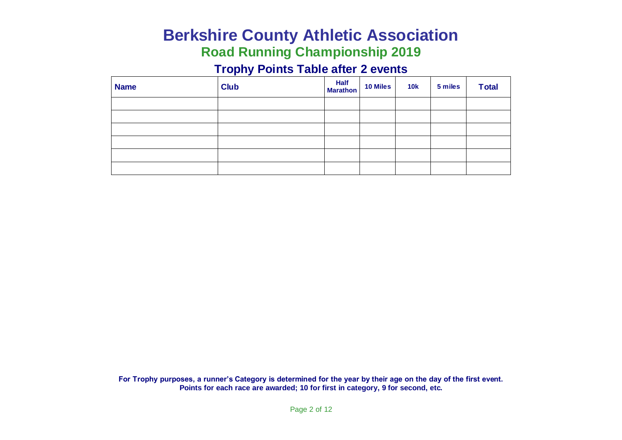# **Berkshire County Athletic Association**

# **Road Running Championship 2019**

### **Trophy Points Table after 2 events**

| <b>Name</b> | <b>Club</b> | Half<br>Marathon | <b>10 Miles</b> | 10k | 5 miles | <b>Total</b> |
|-------------|-------------|------------------|-----------------|-----|---------|--------------|
|             |             |                  |                 |     |         |              |
|             |             |                  |                 |     |         |              |
|             |             |                  |                 |     |         |              |
|             |             |                  |                 |     |         |              |
|             |             |                  |                 |     |         |              |
|             |             |                  |                 |     |         |              |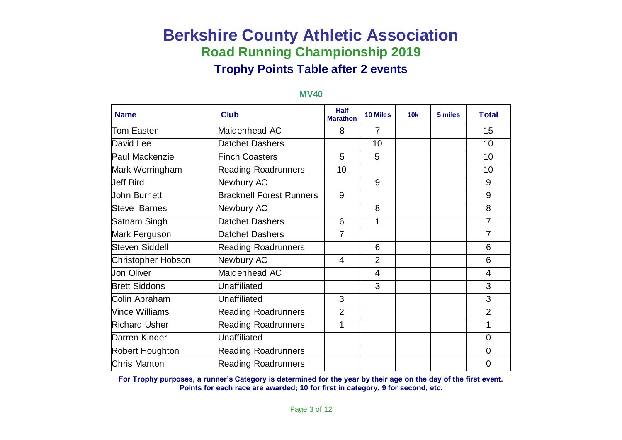| <b>Name</b>               | <b>Club</b>                     | <b>Half</b><br><b>Marathon</b> | <b>10 Miles</b> | <b>10k</b> | 5 miles | <b>Total</b>   |
|---------------------------|---------------------------------|--------------------------------|-----------------|------------|---------|----------------|
| <b>Tom Easten</b>         | Maidenhead AC                   | 8                              | $\overline{7}$  |            |         | 15             |
| David Lee                 | Datchet Dashers                 |                                | 10              |            |         | 10             |
| <b>Paul Mackenzie</b>     | <b>Finch Coasters</b>           | 5                              | 5               |            |         | 10             |
| Mark Worringham           | <b>Reading Roadrunners</b>      | 10                             |                 |            |         | 10             |
| <b>Jeff Bird</b>          | Newbury AC                      |                                | 9               |            |         | 9              |
| <b>John Burnett</b>       | <b>Bracknell Forest Runners</b> | 9                              |                 |            |         | 9              |
| <b>Steve Barnes</b>       | Newbury AC                      |                                | 8               |            |         | 8              |
| Satnam Singh              | <b>Datchet Dashers</b>          | 6                              |                 |            |         | 7              |
| Mark Ferguson             | <b>Datchet Dashers</b>          | 7                              |                 |            |         | 7              |
| <b>Steven Siddell</b>     | <b>Reading Roadrunners</b>      |                                | 6               |            |         | 6              |
| <b>Christopher Hobson</b> | Newbury AC                      | 4                              | $\overline{2}$  |            |         | 6              |
| <b>Jon Oliver</b>         | Maidenhead AC                   |                                | $\overline{4}$  |            |         | 4              |
| <b>Brett Siddons</b>      | Unaffiliated                    |                                | 3               |            |         | 3              |
| Colin Abraham             | <b>Unaffiliated</b>             | 3                              |                 |            |         | 3              |
| <b>Vince Williams</b>     | <b>Reading Roadrunners</b>      | $\overline{2}$                 |                 |            |         | $\overline{2}$ |
| <b>Richard Usher</b>      | <b>Reading Roadrunners</b>      | 1                              |                 |            |         | 1              |
| Darren Kinder             | <b>Unaffiliated</b>             |                                |                 |            |         | $\overline{0}$ |
| <b>Robert Houghton</b>    | <b>Reading Roadrunners</b>      |                                |                 |            |         | $\overline{0}$ |
| <b>Chris Manton</b>       | <b>Reading Roadrunners</b>      |                                |                 |            |         | $\mathbf 0$    |

#### **MV40**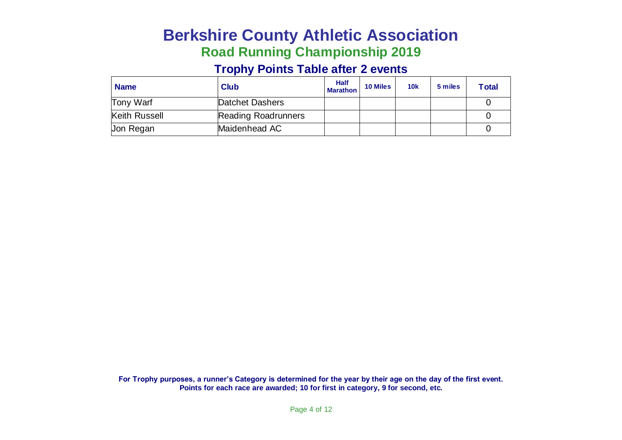# **Berkshire County Athletic Association Road Running Championship 2019**

#### **Trophy Points Table after 2 events**

| <b>Name</b>      | <b>Club</b>                | <b>Half</b><br><b>Marathon</b> | <b>10 Miles</b> | <b>10k</b> | 5 miles | <b>Total</b> |
|------------------|----------------------------|--------------------------------|-----------------|------------|---------|--------------|
| Tony Warf        | Datchet Dashers            |                                |                 |            |         |              |
| Keith Russell    | <b>Reading Roadrunners</b> |                                |                 |            |         |              |
| <b>Jon Regan</b> | Maidenhead AC              |                                |                 |            |         |              |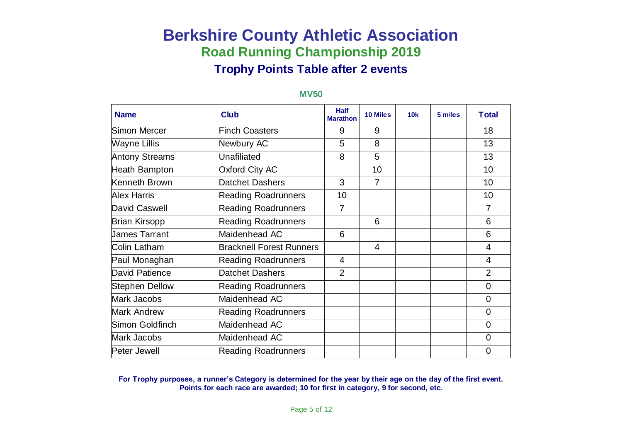#### **Name Club Club Half Marathe Marathon 10 Miles 10k 5 miles Total** Simon Mercer **Finch Coasters** 1 9 1 9 1 18 Wayne Lillis Newbury AC 8 13 Antony Streams | Unafiliated | 8 | 5 | | | 13 Heath Bampton Oxford City AC 10 10 Kenneth Brown Datchet Dashers 1 3 7 7 1 10 Alex Harris Reading Roadrunners 10 10 David Caswell **Reading Roadrunners** | 7 | | | | 7 Brian Kirsopp Reading Roadrunners | 6 | | 6 | 6 James Tarrant Maidenhead AC 6 6 Colin Latham Bracknell Forest Runners 4 4 Paul Monaghan Reading Roadrunners 4 4 David Patience **Datchet Dashers** 2 2 2 2 2 Stephen Dellow Reading Roadrunners Network and Network and Dellow Mark Jacobs Maidenhead AC 0 Mark Andrew **Reading Roadrunners** | | | | | | 0 Simon Goldfinch Maidenhead AC 1988 and 1989 and 1989 and 1989 and 1989 and 1989 and 1989 and 1989 and 1989 and Mark Jacobs Maidenhead AC 1999 | 1999 | 1999 | 1999 | 1999 | 1999 | 1999 | 1999 | 1999 | 1999 | 1999 | 1999 | 1 Peter Jewell |Reading Roadrunners | | | | 0

#### **MV50**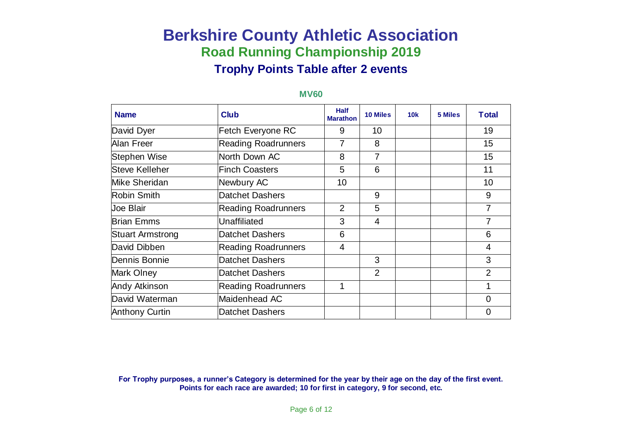| <b>Name</b>             | <b>Club</b>                | <b>Half</b><br><b>Marathon</b> | <b>10 Miles</b> | 10k | 5 Miles | <b>Total</b>   |
|-------------------------|----------------------------|--------------------------------|-----------------|-----|---------|----------------|
| David Dyer              | Fetch Everyone RC          | 9                              | 10              |     |         | 19             |
| Alan Freer              | <b>Reading Roadrunners</b> |                                | 8               |     |         | 15             |
| Stephen Wise            | North Down AC              | 8                              | $\overline{7}$  |     |         | 15             |
| Steve Kelleher          | <b>Finch Coasters</b>      | 5                              | 6               |     |         | 11             |
| Mike Sheridan           | Newbury AC                 | 10                             |                 |     |         | 10             |
| Robin Smith             | <b>Datchet Dashers</b>     |                                | 9               |     |         | 9              |
| <b>Joe Blair</b>        | <b>Reading Roadrunners</b> | $\overline{2}$                 | 5               |     |         | $\overline{7}$ |
| <b>Brian Emms</b>       | <b>Unaffiliated</b>        | 3                              | $\overline{4}$  |     |         | 7              |
| <b>Stuart Armstrong</b> | <b>Datchet Dashers</b>     | 6                              |                 |     |         | 6              |
| David Dibben            | <b>Reading Roadrunners</b> | 4                              |                 |     |         | 4              |
| Dennis Bonnie           | <b>Datchet Dashers</b>     |                                | 3               |     |         | 3              |
| Mark Olney              | <b>Datchet Dashers</b>     |                                | $\overline{2}$  |     |         | $\overline{2}$ |
| Andy Atkinson           | <b>Reading Roadrunners</b> |                                |                 |     |         | 1              |
| David Waterman          | Maidenhead AC              |                                |                 |     |         | $\overline{0}$ |
| <b>Anthony Curtin</b>   | <b>Datchet Dashers</b>     |                                |                 |     |         | $\mathbf 0$    |

#### **MV60**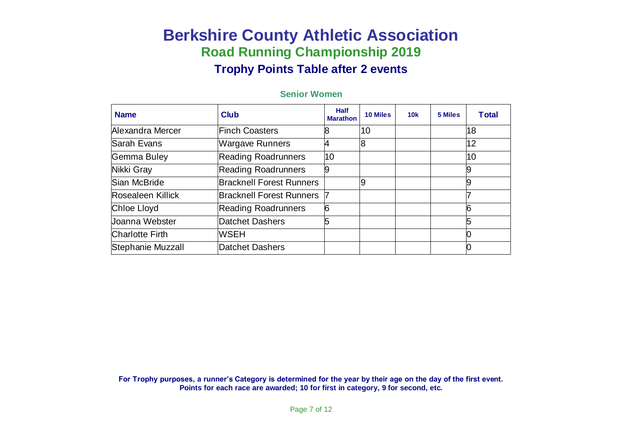#### **Senior Women**

| <b>Name</b>            | <b>Club</b>                     | <b>Half</b><br><b>Marathon</b> | <b>10 Miles</b> | 10k | 5 Miles | <b>Total</b> |
|------------------------|---------------------------------|--------------------------------|-----------------|-----|---------|--------------|
| Alexandra Mercer       | Finch Coasters                  | 8                              | 10              |     |         | 18           |
| lSarah Evans           | <b>Wargave Runners</b>          | 4                              | 8               |     |         | 12           |
| Gemma Buley            | <b>Reading Roadrunners</b>      | 10                             |                 |     |         | 10           |
| Nikki Gray             | <b>Reading Roadrunners</b>      | 9                              |                 |     |         |              |
| Sian McBride           | <b>Bracknell Forest Runners</b> |                                | 9               |     |         |              |
| Rosealeen Killick      | Bracknell Forest Runners        |                                |                 |     |         |              |
| Chloe Lloyd            | <b>Reading Roadrunners</b>      | 6                              |                 |     |         | 6            |
| Joanna Webster         | Datchet Dashers                 | 5                              |                 |     |         |              |
| <b>Charlotte Firth</b> | <b>WSEH</b>                     |                                |                 |     |         |              |
| Stephanie Muzzall      | Datchet Dashers                 |                                |                 |     |         |              |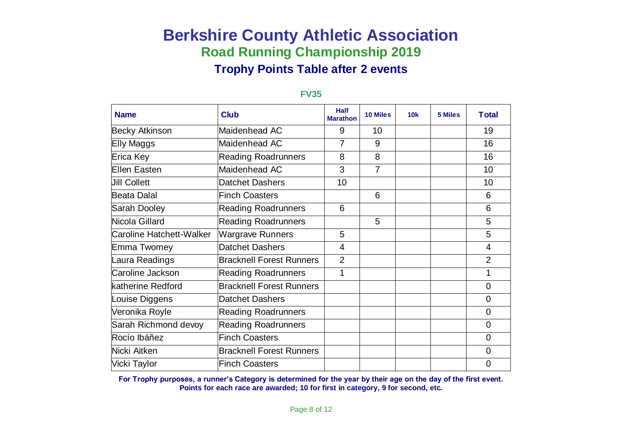| <b>Name</b>                     | <b>Club</b>                     | <b>Half</b><br><b>Marathon</b> | <b>10 Miles</b> | 10k | 5 Miles | <b>Total</b>   |
|---------------------------------|---------------------------------|--------------------------------|-----------------|-----|---------|----------------|
| <b>Becky Atkinson</b>           | Maidenhead AC                   | 9                              | 10              |     |         | 19             |
| Elly Maggs                      | Maidenhead AC                   | 7                              | 9               |     |         | 16             |
| Erica Key                       | <b>Reading Roadrunners</b>      | 8                              | 8               |     |         | 16             |
| <b>Ellen Easten</b>             | Maidenhead AC                   | 3                              | $\overline{7}$  |     |         | 10             |
| <b>Jill Collett</b>             | <b>Datchet Dashers</b>          | 10                             |                 |     |         | 10             |
| <b>Beata Dalal</b>              | <b>Finch Coasters</b>           |                                | 6               |     |         | 6              |
| <b>Sarah Dooley</b>             | <b>Reading Roadrunners</b>      | 6                              |                 |     |         | 6              |
| Nicola Gillard                  | <b>Reading Roadrunners</b>      |                                | 5               |     |         | 5              |
| <b>Caroline Hatchett-Walker</b> | <b>Wargrave Runners</b>         | 5                              |                 |     |         | 5              |
| <b>Emma Twomey</b>              | <b>Datchet Dashers</b>          | 4                              |                 |     |         | 4              |
| Laura Readings                  | <b>Bracknell Forest Runners</b> | $\overline{2}$                 |                 |     |         | $\overline{2}$ |
| Caroline Jackson                | <b>Reading Roadrunners</b>      | 1                              |                 |     |         | 1              |
| katherine Redford               | <b>Bracknell Forest Runners</b> |                                |                 |     |         | $\mathbf 0$    |
| Louise Diggens                  | <b>Datchet Dashers</b>          |                                |                 |     |         | $\overline{0}$ |
| Veronika Royle                  | <b>Reading Roadrunners</b>      |                                |                 |     |         | $\mathbf 0$    |
| Sarah Richmond devoy            | <b>Reading Roadrunners</b>      |                                |                 |     |         | $\mathbf 0$    |
| Rocío Ibáñez                    | <b>Finch Coasters</b>           |                                |                 |     |         | $\overline{0}$ |
| Nicki Aitken                    | <b>Bracknell Forest Runners</b> |                                |                 |     |         | $\overline{0}$ |
| Vicki Taylor                    | <b>Finch Coasters</b>           |                                |                 |     |         | $\mathbf 0$    |

#### **FV35**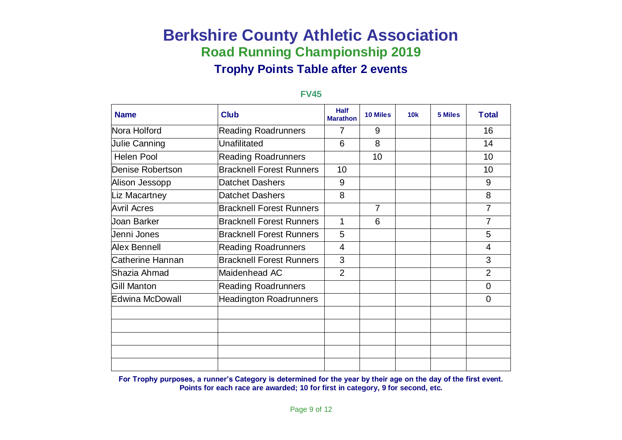| <b>Name</b>          | <b>Club</b>                     | <b>Half</b><br><b>Marathon</b> | <b>10 Miles</b> | 10k | 5 Miles | <b>Total</b>   |
|----------------------|---------------------------------|--------------------------------|-----------------|-----|---------|----------------|
| Nora Holford         | <b>Reading Roadrunners</b>      | 7                              | 9               |     |         | 16             |
| <b>Julie Canning</b> | Unafilitated                    | 6                              | 8               |     |         | 14             |
| <b>Helen Pool</b>    | <b>Reading Roadrunners</b>      |                                | 10              |     |         | 10             |
| Denise Robertson     | <b>Bracknell Forest Runners</b> | 10                             |                 |     |         | 10             |
| Alison Jessopp       | <b>Datchet Dashers</b>          | 9                              |                 |     |         | 9              |
| Liz Macartney        | <b>Datchet Dashers</b>          | 8                              |                 |     |         | 8              |
| <b>Avril Acres</b>   | <b>Bracknell Forest Runners</b> |                                | $\overline{7}$  |     |         | $\overline{7}$ |
| Joan Barker          | <b>Bracknell Forest Runners</b> | 1                              | 6               |     |         | 7              |
| Jenni Jones          | <b>Bracknell Forest Runners</b> | 5                              |                 |     |         | 5              |
| <b>Alex Bennell</b>  | <b>Reading Roadrunners</b>      | $\overline{4}$                 |                 |     |         | 4              |
| Catherine Hannan     | <b>Bracknell Forest Runners</b> | 3                              |                 |     |         | 3              |
| Shazia Ahmad         | Maidenhead AC                   | $\overline{2}$                 |                 |     |         | $\overline{2}$ |
| Gill Manton          | <b>Reading Roadrunners</b>      |                                |                 |     |         | $\overline{0}$ |
| Edwina McDowall      | <b>Headington Roadrunners</b>   |                                |                 |     |         | $\overline{0}$ |
|                      |                                 |                                |                 |     |         |                |
|                      |                                 |                                |                 |     |         |                |
|                      |                                 |                                |                 |     |         |                |
|                      |                                 |                                |                 |     |         |                |
|                      |                                 |                                |                 |     |         |                |

#### **FV45**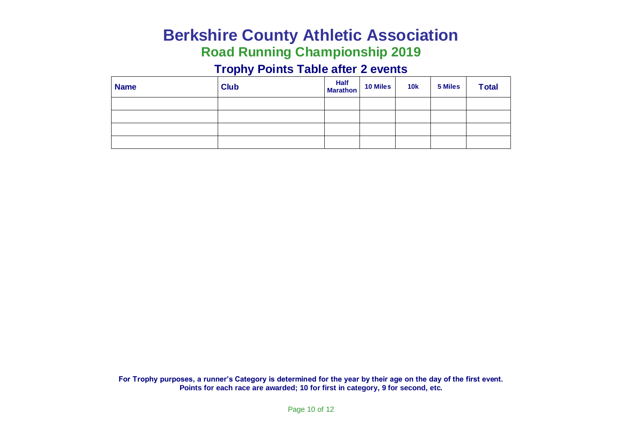# **Berkshire County Athletic Association**

# **Road Running Championship 2019**

### **Trophy Points Table after 2 events**

| <b>Name</b> | <b>Club</b> | Half 10 Miles | <b>10k</b> | 5 Miles | <b>Total</b> |
|-------------|-------------|---------------|------------|---------|--------------|
|             |             |               |            |         |              |
|             |             |               |            |         |              |
|             |             |               |            |         |              |
|             |             |               |            |         |              |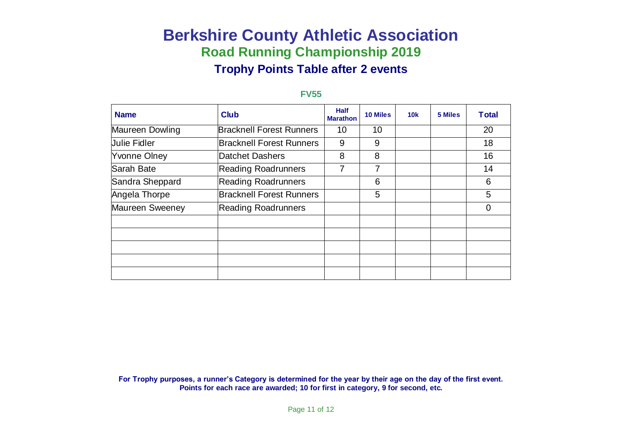#### **FV55**

| <b>Name</b>         | <b>Club</b>                     | <b>Half</b><br><b>Marathon</b> | <b>10 Miles</b> | 10k | 5 Miles | <b>Total</b> |
|---------------------|---------------------------------|--------------------------------|-----------------|-----|---------|--------------|
| Maureen Dowling     | <b>Bracknell Forest Runners</b> | 10                             | 10              |     |         | 20           |
| <b>Julie Fidler</b> | <b>Bracknell Forest Runners</b> | 9                              | 9               |     |         | 18           |
| Yvonne Olney        | <b>Datchet Dashers</b>          | 8                              | 8               |     |         | 16           |
| Sarah Bate          | <b>Reading Roadrunners</b>      | 7                              | 7               |     |         | 14           |
| Sandra Sheppard     | <b>Reading Roadrunners</b>      |                                | 6               |     |         | 6            |
| Angela Thorpe       | <b>Bracknell Forest Runners</b> |                                | 5               |     |         | 5            |
| Maureen Sweeney     | <b>Reading Roadrunners</b>      |                                |                 |     |         | 0            |
|                     |                                 |                                |                 |     |         |              |
|                     |                                 |                                |                 |     |         |              |
|                     |                                 |                                |                 |     |         |              |
|                     |                                 |                                |                 |     |         |              |
|                     |                                 |                                |                 |     |         |              |